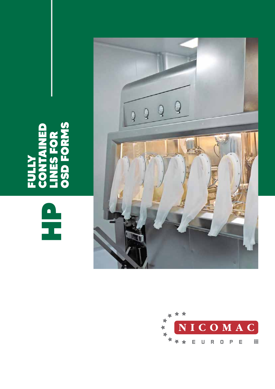





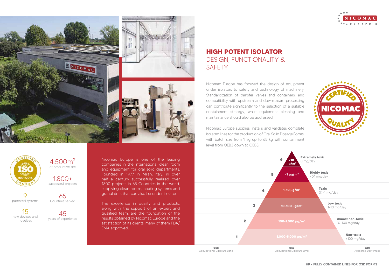



HP - FULLY CONTAINED LINES FOR OSD FORMS

### **HIGH POTENT ISOLATOR**  DESIGN, FUNCTIONALITY & **SAFETY**







 $\overline{Q}$ patented systems

1.800+ successful projects

65 Countries served

4.500m² of productive site

15 new devices and novelties

45 years of experience Nicomac Europe is one of the leading companies in the international clean room and equipment for oral solid departments. Founded in 1977 in Milan, Italy, in over half a century successfully realized over 1800 projects in 65 Countries in the world, supplying clean rooms, coating systems and granulators that can also be under isolator.

The excellence in quality and products, along with the support of an expert and qualified team, are the foundation of the results obtained by Nicomac Europe and the satisfaction of its clients, many of them FDA/ EMA approved.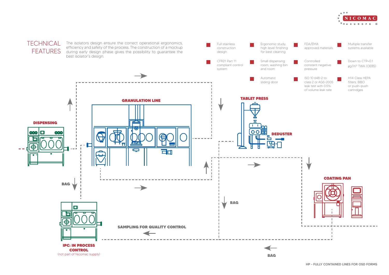





HP - FULLY CONTAINED LINES FOR OSD FORMS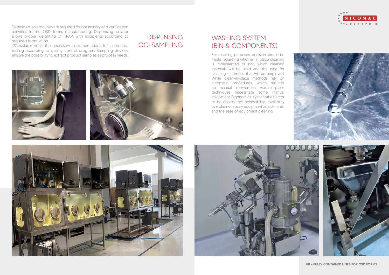## WASHING SYSTEM (BIN & COMPONENTS)

# DISPENSING QC-SAMPLING

For cleaning purposes, decision should be made regarding whether in place cleaning is implemented or not, which cleaning materials will be used and the type for cleaning methodes that will be employed. While clean-in-place methods rely on automatic procedures, which requires no manual intervention, wash-in-place techniques necessitate some manual involvment. Ergonomics is yet another factor to be considered: accessibility, availability to make necessary equipment adjustments, and the ease of equipment cleaning.













Dedicated isolator units are required for preliminary and verification activities in the OSD forms manufacturing. Dispensing isolator allows proper weighting of HPAPI with excipients according to required formulation.

IPC isolator hosts the necessary instrumentations for in process testing according to quality control program. Sampling devices ensure the possibility to extract product samples as process needs.

HP - FULLY CONTAINED LINES FOR OSD FORMS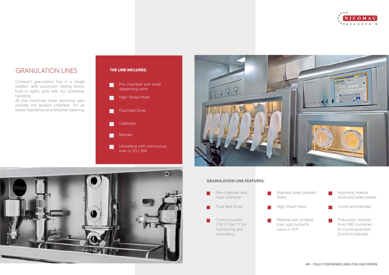#### GRANULATION LINES

Compact granulation line in a single isolator: with automatic sliding doors, built-in lights and rails for container handling.

All the machines have technical part outside the isolator chamber, for an easier maintenance and better cleaning.

#### **GRANULATION LINE FEATURES:**

| Pre-chamber and<br>main chamber                                       | Stainless s<br>filters                   |
|-----------------------------------------------------------------------|------------------------------------------|
| <b>Fluid Bed Dryer</b>                                                | High Shea                                |
| Control system<br>CFR 21 Part 11 for<br>monitoring and<br>controlling | Material e<br>liner, split<br>valve or R |









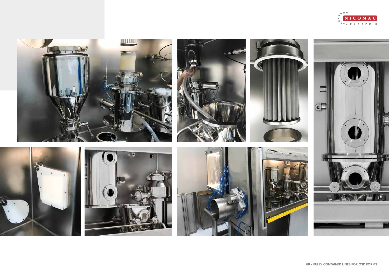













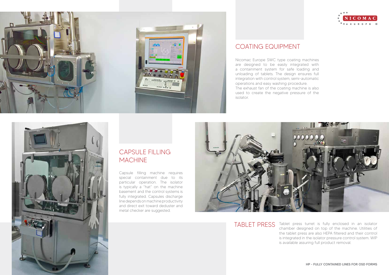Nicomac Europe SWC type coating machines are designed to be easily integrated with a containment system for safe loading and unloading of tablets. The design ensures full integration with control system, semi-automatic operations and easy washing procedure. The exhaust fan of the coating machine is also used to create the negative pressure of the isolator.



TABLET PRESS Tablet press turret is fully enclosed in an isolator chamber designed on top of the machine. Utilities of the tablet press are also HEPA filtered and their control is integrated in the isolator pressure control system. WIP is available assuring full product removal.

Capsule filling machine requires special containment due to its particular operation. The isolator is typically a "hat" on the machine basement and the control systems is fully integrated. Capsules discharge line depends on machine productivity and direct exit toward deduster and metal checker are suggested.







#### COATING EQUIPMENT

### CAPSULE FILLING MACHINE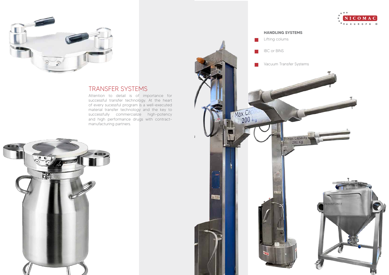

#### TRANSFER SYSTEMS

Attention to detail is of importance for successful transfer technology. At the heart of every sucessful program is a well-executed material transfer technology and the key to successfully commercialize high-potency and high performance drugs with contractmanufacturing partners.